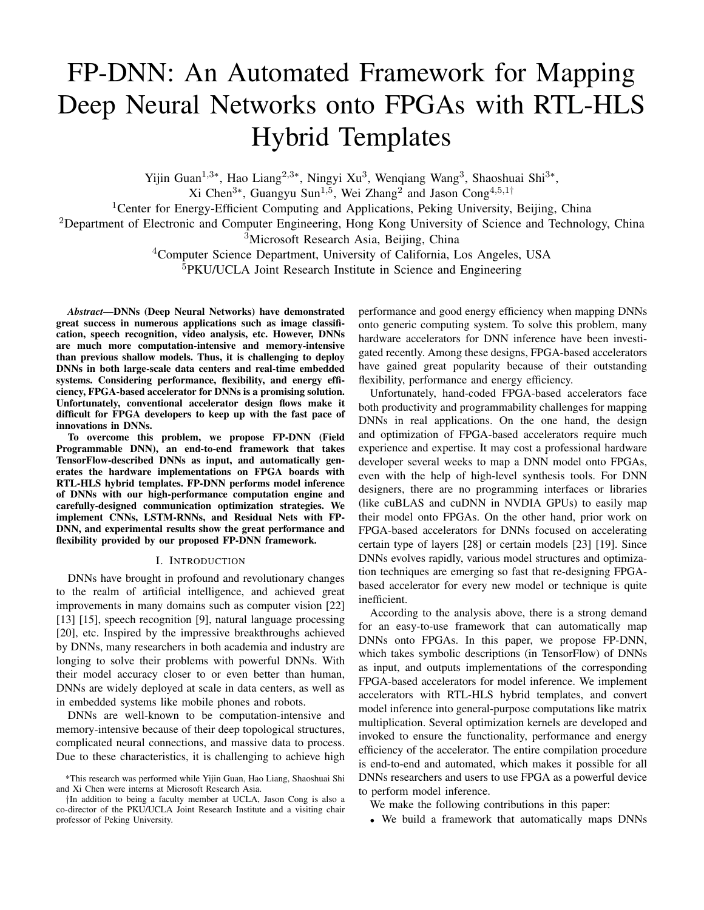# FP-DNN: An Automated Framework for Mapping Deep Neural Networks onto FPGAs with RTL-HLS Hybrid Templates

Yijin Guan<sup>1,3∗</sup>, Hao Liang<sup>2,3∗</sup>, Ningyi Xu<sup>3</sup>, Wenqiang Wang<sup>3</sup>, Shaoshuai Shi<sup>3∗</sup>,

Xi Chen<sup>3∗</sup>, Guangyu Sun<sup>1,5</sup>, Wei Zhang<sup>2</sup> and Jason Cong<sup>4,5,1†</sup>

<sup>1</sup>Center for Energy-Efficient Computing and Applications, Peking University, Beijing, China

<sup>2</sup>Department of Electronic and Computer Engineering, Hong Kong University of Science and Technology, China <sup>3</sup>Microsoft Research Asia, Beijing, China

<sup>4</sup>Computer Science Department, University of California, Los Angeles, USA

<sup>5</sup>PKU/UCLA Joint Research Institute in Science and Engineering

*Abstract*—DNNs (Deep Neural Networks) have demonstrated great success in numerous applications such as image classification, speech recognition, video analysis, etc. However, DNNs are much more computation-intensive and memory-intensive than previous shallow models. Thus, it is challenging to deploy DNNs in both large-scale data centers and real-time embedded systems. Considering performance, flexibility, and energy efficiency, FPGA-based accelerator for DNNs is a promising solution. Unfortunately, conventional accelerator design flows make it difficult for FPGA developers to keep up with the fast pace of innovations in DNNs.

To overcome this problem, we propose FP-DNN (Field Programmable DNN), an end-to-end framework that takes TensorFlow-described DNNs as input, and automatically generates the hardware implementations on FPGA boards with RTL-HLS hybrid templates. FP-DNN performs model inference of DNNs with our high-performance computation engine and carefully-designed communication optimization strategies. We implement CNNs, LSTM-RNNs, and Residual Nets with FP-DNN, and experimental results show the great performance and flexibility provided by our proposed FP-DNN framework.

### I. INTRODUCTION

DNNs have brought in profound and revolutionary changes to the realm of artificial intelligence, and achieved great improvements in many domains such as computer vision [22] [13] [15], speech recognition [9], natural language processing [20], etc. Inspired by the impressive breakthroughs achieved by DNNs, many researchers in both academia and industry are longing to solve their problems with powerful DNNs. With their model accuracy closer to or even better than human, DNNs are widely deployed at scale in data centers, as well as in embedded systems like mobile phones and robots.

DNNs are well-known to be computation-intensive and memory-intensive because of their deep topological structures, complicated neural connections, and massive data to process. Due to these characteristics, it is challenging to achieve high performance and good energy efficiency when mapping DNNs onto generic computing system. To solve this problem, many hardware accelerators for DNN inference have been investigated recently. Among these designs, FPGA-based accelerators have gained great popularity because of their outstanding flexibility, performance and energy efficiency.

Unfortunately, hand-coded FPGA-based accelerators face both productivity and programmability challenges for mapping DNNs in real applications. On the one hand, the design and optimization of FPGA-based accelerators require much experience and expertise. It may cost a professional hardware developer several weeks to map a DNN model onto FPGAs, even with the help of high-level synthesis tools. For DNN designers, there are no programming interfaces or libraries (like cuBLAS and cuDNN in NVDIA GPUs) to easily map their model onto FPGAs. On the other hand, prior work on FPGA-based accelerators for DNNs focused on accelerating certain type of layers [28] or certain models [23] [19]. Since DNNs evolves rapidly, various model structures and optimization techniques are emerging so fast that re-designing FPGAbased accelerator for every new model or technique is quite inefficient.

According to the analysis above, there is a strong demand for an easy-to-use framework that can automatically map DNNs onto FPGAs. In this paper, we propose FP-DNN, which takes symbolic descriptions (in TensorFlow) of DNNs as input, and outputs implementations of the corresponding FPGA-based accelerators for model inference. We implement accelerators with RTL-HLS hybrid templates, and convert model inference into general-purpose computations like matrix multiplication. Several optimization kernels are developed and invoked to ensure the functionality, performance and energy efficiency of the accelerator. The entire compilation procedure is end-to-end and automated, which makes it possible for all DNNs researchers and users to use FPGA as a powerful device to perform model inference.

We make the following contributions in this paper:

• We build a framework that automatically maps DNNs

<sup>\*</sup>This research was performed while Yijin Guan, Hao Liang, Shaoshuai Shi and Xi Chen were interns at Microsoft Research Asia.

<sup>†</sup>In addition to being a faculty member at UCLA, Jason Cong is also a co-director of the PKU/UCLA Joint Research Institute and a visiting chair professor of Peking University.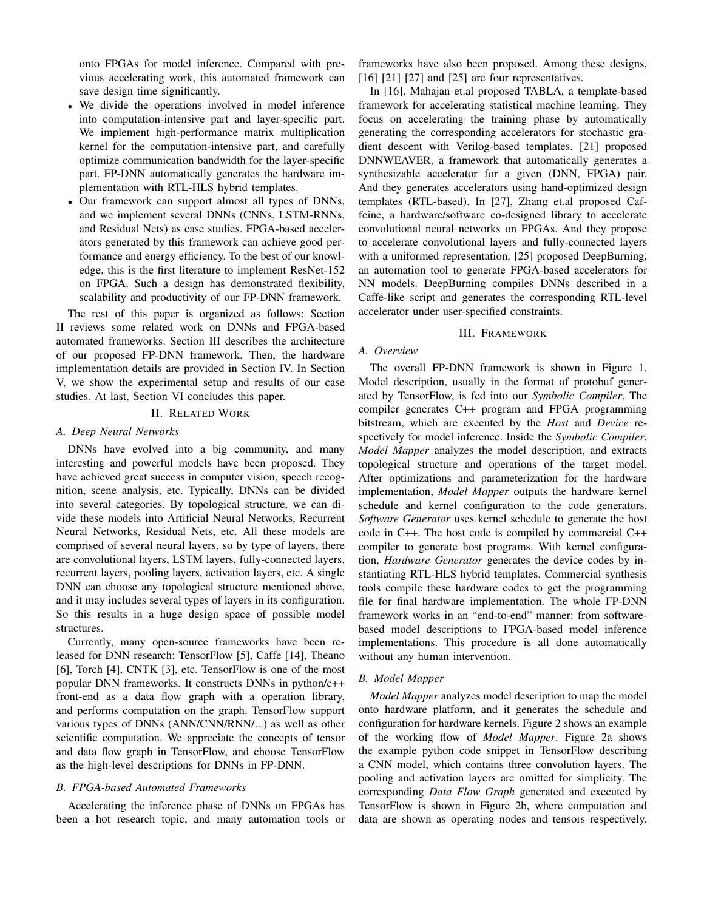onto FPGAs for model inference. Compared with previous accelerating work, this automated framework can save design time significantly.

- We divide the operations involved in model inference into computation-intensive part and layer-specific part. We implement high-performance matrix multiplication kernel for the computation-intensive part, and carefully optimize communication bandwidth for the layer-specific part. FP-DNN automatically generates the hardware implementation with RTL-HLS hybrid templates.
- Our framework can support almost all types of DNNs, and we implement several DNNs (CNNs, LSTM-RNNs, and Residual Nets) as case studies. FPGA-based accelerators generated by this framework can achieve good performance and energy efficiency. To the best of our knowledge, this is the first literature to implement ResNet-152 on FPGA. Such a design has demonstrated flexibility, scalability and productivity of our FP-DNN framework.

The rest of this paper is organized as follows: Section II reviews some related work on DNNs and FPGA-based automated frameworks. Section III describes the architecture of our proposed FP-DNN framework. Then, the hardware implementation details are provided in Section IV. In Section V, we show the experimental setup and results of our case studies. At last, Section VI concludes this paper.

#### II. RELATED WORK

# *A. Deep Neural Networks*

DNNs have evolved into a big community, and many interesting and powerful models have been proposed. They have achieved great success in computer vision, speech recognition, scene analysis, etc. Typically, DNNs can be divided into several categories. By topological structure, we can divide these models into Artificial Neural Networks, Recurrent Neural Networks, Residual Nets, etc. All these models are comprised of several neural layers, so by type of layers, there are convolutional layers, LSTM layers, fully-connected layers, recurrent layers, pooling layers, activation layers, etc. A single DNN can choose any topological structure mentioned above, and it may includes several types of layers in its configuration. So this results in a huge design space of possible model structures.

Currently, many open-source frameworks have been released for DNN research: TensorFlow [5], Caffe [14], Theano [6], Torch [4], CNTK [3], etc. TensorFlow is one of the most popular DNN frameworks. It constructs DNNs in python/c++ front-end as a data flow graph with a operation library, and performs computation on the graph. TensorFlow support various types of DNNs (ANN/CNN/RNN/...) as well as other scientific computation. We appreciate the concepts of tensor and data flow graph in TensorFlow, and choose TensorFlow as the high-level descriptions for DNNs in FP-DNN.

# *B. FPGA-based Automated Frameworks*

Accelerating the inference phase of DNNs on FPGAs has been a hot research topic, and many automation tools or

frameworks have also been proposed. Among these designs, [16] [21] [27] and [25] are four representatives.

In [16], Mahajan et.al proposed TABLA, a template-based framework for accelerating statistical machine learning. They focus on accelerating the training phase by automatically generating the corresponding accelerators for stochastic gradient descent with Verilog-based templates. [21] proposed DNNWEAVER, a framework that automatically generates a synthesizable accelerator for a given (DNN, FPGA) pair. And they generates accelerators using hand-optimized design templates (RTL-based). In [27], Zhang et.al proposed Caffeine, a hardware/software co-designed library to accelerate convolutional neural networks on FPGAs. And they propose to accelerate convolutional layers and fully-connected layers with a uniformed representation. [25] proposed DeepBurning, an automation tool to generate FPGA-based accelerators for NN models. DeepBurning compiles DNNs described in a Caffe-like script and generates the corresponding RTL-level accelerator under user-specified constraints.

## III. FRAMEWORK

## *A. Overview*

The overall FP-DNN framework is shown in Figure 1. Model description, usually in the format of protobuf generated by TensorFlow, is fed into our *Symbolic Compiler*. The compiler generates C++ program and FPGA programming bitstream, which are executed by the *Host* and *Device* respectively for model inference. Inside the *Symbolic Compiler*, *Model Mapper* analyzes the model description, and extracts topological structure and operations of the target model. After optimizations and parameterization for the hardware implementation, *Model Mapper* outputs the hardware kernel schedule and kernel configuration to the code generators. *Software Generator* uses kernel schedule to generate the host code in C++. The host code is compiled by commercial C++ compiler to generate host programs. With kernel configuration, *Hardware Generator* generates the device codes by instantiating RTL-HLS hybrid templates. Commercial synthesis tools compile these hardware codes to get the programming file for final hardware implementation. The whole FP-DNN framework works in an "end-to-end" manner: from softwarebased model descriptions to FPGA-based model inference implementations. This procedure is all done automatically without any human intervention.

## *B. Model Mapper*

*Model Mapper* analyzes model description to map the model onto hardware platform, and it generates the schedule and configuration for hardware kernels. Figure 2 shows an example of the working flow of *Model Mapper*. Figure 2a shows the example python code snippet in TensorFlow describing a CNN model, which contains three convolution layers. The pooling and activation layers are omitted for simplicity. The corresponding *Data Flow Graph* generated and executed by TensorFlow is shown in Figure 2b, where computation and data are shown as operating nodes and tensors respectively.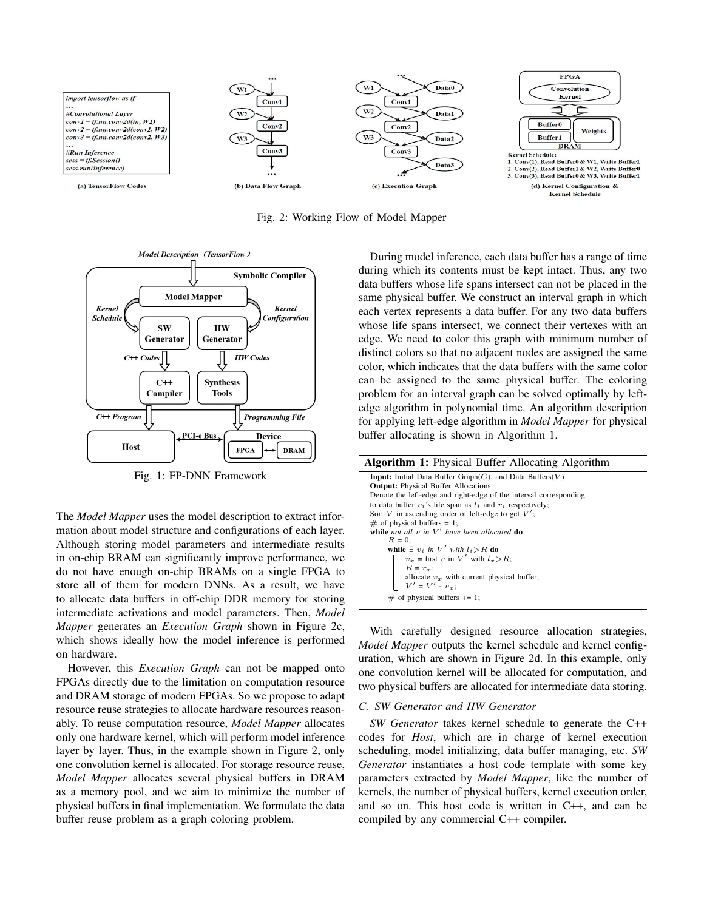

Fig. 2: Working Flow of Model Mapper



Fig. 1: FP-DNN Framework

The *Model Mapper* uses the model description to extract information about model structure and configurations of each layer. Although storing model parameters and intermediate results in on-chip BRAM can significantly improve performance, we do not have enough on-chip BRAMs on a single FPGA to store all of them for modern DNNs. As a result, we have to allocate data buffers in off-chip DDR memory for storing intermediate activations and model parameters. Then, *Model Mapper* generates an *Execution Graph* shown in Figure 2c, which shows ideally how the model inference is performed on hardware.

However, this *Execution Graph* can not be mapped onto FPGAs directly due to the limitation on computation resource and DRAM storage of modern FPGAs. So we propose to adapt resource reuse strategies to allocate hardware resources reasonably. To reuse computation resource, *Model Mapper* allocates only one hardware kernel, which will perform model inference layer by layer. Thus, in the example shown in Figure 2, only one convolution kernel is allocated. For storage resource reuse, *Model Mapper* allocates several physical buffers in DRAM as a memory pool, and we aim to minimize the number of physical buffers in final implementation. We formulate the data buffer reuse problem as a graph coloring problem.

During model inference, each data buffer has a range of time during which its contents must be kept intact. Thus, any two data buffers whose life spans intersect can not be placed in the same physical buffer. We construct an interval graph in which each vertex represents a data buffer. For any two data buffers whose life spans intersect, we connect their vertexes with an edge. We need to color this graph with minimum number of distinct colors so that no adjacent nodes are assigned the same color, which indicates that the data buffers with the same color can be assigned to the same physical buffer. The coloring problem for an interval graph can be solved optimally by leftedge algorithm in polynomial time. An algorithm description for applying left-edge algorithm in *Model Mapper* for physical buffer allocating is shown in Algorithm 1.

| <b>Algorithm 1:</b> Physical Buffer Allocating Algorithm               |  |  |  |  |  |
|------------------------------------------------------------------------|--|--|--|--|--|
| <b>Input:</b> Initial Data Buffer Graph $(G)$ , and Data Buffers $(V)$ |  |  |  |  |  |
| <b>Output:</b> Physical Buffer Allocations                             |  |  |  |  |  |
| Denote the left-edge and right-edge of the interval corresponding      |  |  |  |  |  |
| to data buffer $v_i$ 's life span as $l_i$ and $r_i$ respectively;     |  |  |  |  |  |
| Sort V in ascending order of left-edge to get $V'$ ;                   |  |  |  |  |  |
| $\#$ of physical buffers = 1;                                          |  |  |  |  |  |
| while not all v in $V'$ have been allocated do                         |  |  |  |  |  |
| $R=0$ :                                                                |  |  |  |  |  |
| while $\exists v_i$ in V' with $l_i > R$ do                            |  |  |  |  |  |
| $v_r$ = first v in V' with $l_r > R$ ;                                 |  |  |  |  |  |
| $R = r_{\tau}$                                                         |  |  |  |  |  |
| allocate $v_x$ with current physical buffer;                           |  |  |  |  |  |
| $ V' = V' - v_x;$                                                      |  |  |  |  |  |
| $\#$ of physical buffers $+= 1$ ;                                      |  |  |  |  |  |

With carefully designed resource allocation strategies, *Model Mapper* outputs the kernel schedule and kernel configuration, which are shown in Figure 2d. In this example, only one convolution kernel will be allocated for computation, and two physical buffers are allocated for intermediate data storing.

## *C. SW Generator and HW Generator*

*SW Generator* takes kernel schedule to generate the C++ codes for *Host*, which are in charge of kernel execution scheduling, model initializing, data buffer managing, etc. *SW Generator* instantiates a host code template with some key parameters extracted by *Model Mapper*, like the number of kernels, the number of physical buffers, kernel execution order, and so on. This host code is written in C++, and can be compiled by any commercial C++ compiler.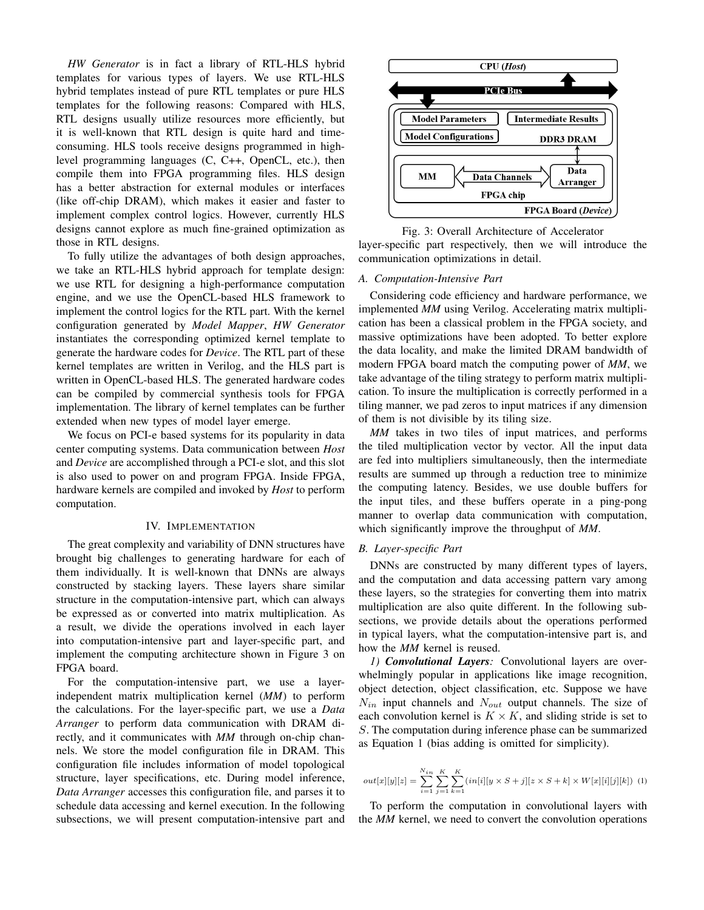*HW Generator* is in fact a library of RTL-HLS hybrid templates for various types of layers. We use RTL-HLS hybrid templates instead of pure RTL templates or pure HLS templates for the following reasons: Compared with HLS, RTL designs usually utilize resources more efficiently, but it is well-known that RTL design is quite hard and timeconsuming. HLS tools receive designs programmed in highlevel programming languages (C, C++, OpenCL, etc.), then compile them into FPGA programming files. HLS design has a better abstraction for external modules or interfaces (like off-chip DRAM), which makes it easier and faster to implement complex control logics. However, currently HLS designs cannot explore as much fine-grained optimization as those in RTL designs.

To fully utilize the advantages of both design approaches, we take an RTL-HLS hybrid approach for template design: we use RTL for designing a high-performance computation engine, and we use the OpenCL-based HLS framework to implement the control logics for the RTL part. With the kernel configuration generated by *Model Mapper*, *HW Generator* instantiates the corresponding optimized kernel template to generate the hardware codes for *Device*. The RTL part of these kernel templates are written in Verilog, and the HLS part is written in OpenCL-based HLS. The generated hardware codes can be compiled by commercial synthesis tools for FPGA implementation. The library of kernel templates can be further extended when new types of model layer emerge.

We focus on PCI-e based systems for its popularity in data center computing systems. Data communication between *Host* and *Device* are accomplished through a PCI-e slot, and this slot is also used to power on and program FPGA. Inside FPGA, hardware kernels are compiled and invoked by *Host* to perform computation.

## IV. IMPLEMENTATION

The great complexity and variability of DNN structures have brought big challenges to generating hardware for each of them individually. It is well-known that DNNs are always constructed by stacking layers. These layers share similar structure in the computation-intensive part, which can always be expressed as or converted into matrix multiplication. As a result, we divide the operations involved in each layer into computation-intensive part and layer-specific part, and implement the computing architecture shown in Figure 3 on FPGA board.

For the computation-intensive part, we use a layerindependent matrix multiplication kernel (*MM*) to perform the calculations. For the layer-specific part, we use a *Data Arranger* to perform data communication with DRAM directly, and it communicates with *MM* through on-chip channels. We store the model configuration file in DRAM. This configuration file includes information of model topological structure, layer specifications, etc. During model inference, *Data Arranger* accesses this configuration file, and parses it to schedule data accessing and kernel execution. In the following subsections, we will present computation-intensive part and



Fig. 3: Overall Architecture of Accelerator layer-specific part respectively, then we will introduce the communication optimizations in detail.

#### *A. Computation-Intensive Part*

Considering code efficiency and hardware performance, we implemented *MM* using Verilog. Accelerating matrix multiplication has been a classical problem in the FPGA society, and massive optimizations have been adopted. To better explore the data locality, and make the limited DRAM bandwidth of modern FPGA board match the computing power of *MM*, we take advantage of the tiling strategy to perform matrix multiplication. To insure the multiplication is correctly performed in a tiling manner, we pad zeros to input matrices if any dimension of them is not divisible by its tiling size.

*MM* takes in two tiles of input matrices, and performs the tiled multiplication vector by vector. All the input data are fed into multipliers simultaneously, then the intermediate results are summed up through a reduction tree to minimize the computing latency. Besides, we use double buffers for the input tiles, and these buffers operate in a ping-pong manner to overlap data communication with computation, which significantly improve the throughput of *MM*.

# *B. Layer-specific Part*

DNNs are constructed by many different types of layers, and the computation and data accessing pattern vary among these layers, so the strategies for converting them into matrix multiplication are also quite different. In the following subsections, we provide details about the operations performed in typical layers, what the computation-intensive part is, and how the *MM* kernel is reused.

*1) Convolutional Layers:* Convolutional layers are overwhelmingly popular in applications like image recognition, object detection, object classification, etc. Suppose we have  $N_{in}$  input channels and  $N_{out}$  output channels. The size of each convolution kernel is  $K \times K$ , and sliding stride is set to S. The computation during inference phase can be summarized as Equation 1 (bias adding is omitted for simplicity).

$$
out[x][y][z] = \sum_{i=1}^{N_{in}} \sum_{j=1}^{K} \sum_{k=1}^{K} (in[i][y \times S + j][z \times S + k] \times W[x][i][j][k]) \tag{1}
$$

To perform the computation in convolutional layers with the *MM* kernel, we need to convert the convolution operations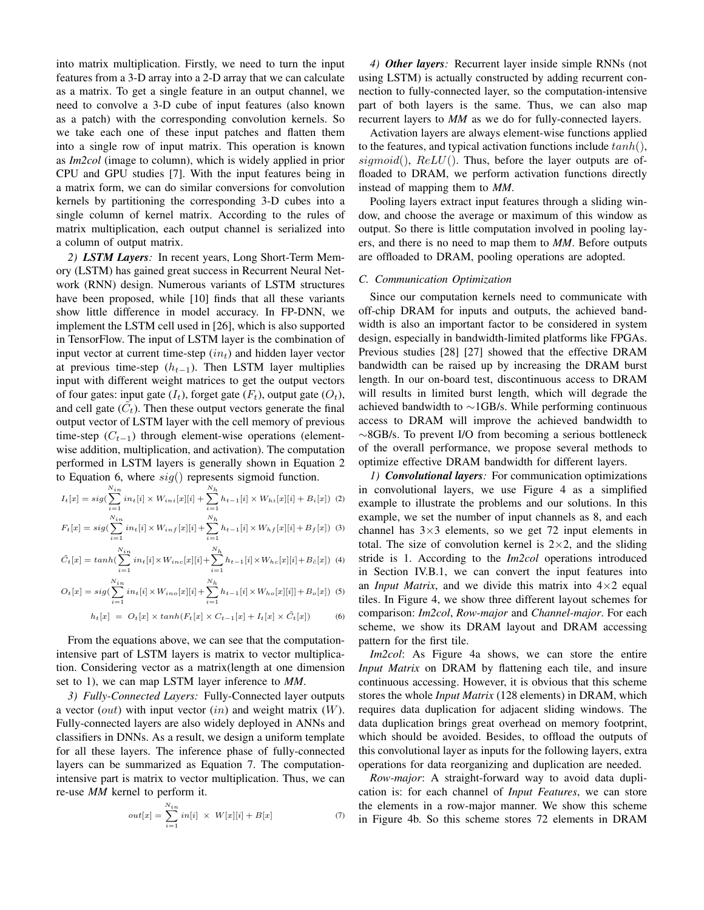into matrix multiplication. Firstly, we need to turn the input features from a 3-D array into a 2-D array that we can calculate as a matrix. To get a single feature in an output channel, we need to convolve a 3-D cube of input features (also known as a patch) with the corresponding convolution kernels. So we take each one of these input patches and flatten them into a single row of input matrix. This operation is known as *Im2col* (image to column), which is widely applied in prior CPU and GPU studies [7]. With the input features being in a matrix form, we can do similar conversions for convolution kernels by partitioning the corresponding 3-D cubes into a single column of kernel matrix. According to the rules of matrix multiplication, each output channel is serialized into a column of output matrix.

*2) LSTM Layers:* In recent years, Long Short-Term Memory (LSTM) has gained great success in Recurrent Neural Network (RNN) design. Numerous variants of LSTM structures have been proposed, while [10] finds that all these variants show little difference in model accuracy. In FP-DNN, we implement the LSTM cell used in [26], which is also supported in TensorFlow. The input of LSTM layer is the combination of input vector at current time-step  $(in<sub>t</sub>)$  and hidden layer vector at previous time-step  $(h_{t-1})$ . Then LSTM layer multiplies input with different weight matrices to get the output vectors of four gates: input gate  $(I_t)$ , forget gate  $(F_t)$ , output gate  $(O_t)$ , and cell gate  $(\tilde{C}_t)$ . Then these output vectors generate the final output vector of LSTM layer with the cell memory of previous time-step  $(C_{t-1})$  through element-wise operations (elementwise addition, multiplication, and activation). The computation performed in LSTM layers is generally shown in Equation 2 to Equation 6, where  $sig()$  represents sigmoid function.

$$
I_t[x] = sig(\sum_{i=1}^{N_{in}} in_t[i] \times W_{ini}[x][i] + \sum_{i=1}^{N_h} h_{t-1}[i] \times W_{hi}[x][i] + B_i[x]) \tag{2}
$$
  

$$
\frac{N_{in}}{N_{in}}
$$

$$
F_t[x] = sig(\sum_{i=1}^{N_{in}} in_t[i] \times W_{inf}[x][i] + \sum_{i=1}^{N_h} h_{t-1}[i] \times W_{hf}[x][i] + B_f[x]) \tag{3}
$$

$$
\tilde{C}_t[x] = \tanh(\sum_{i=1}^{N_{in}} in_t[i] \times W_{inc}[x][i] + \sum_{i=1}^{N_h} h_{t-1}[i] \times W_{hc}[x][i] + B_{\tilde{c}}[x]) \tag{4}
$$

$$
O_t[x] = sig(\sum_{i=1}^{N_{in}} in_t[i] \times W_{ino}[x][i] + \sum_{i=1}^{N_h} h_{t-1}[i] \times W_{ho}[x][i]] + B_o[x]) \tag{5}
$$

$$
h_t[x] = O_t[x] \times \tanh(F_t[x] \times C_{t-1}[x] + I_t[x] \times \tilde{C}_t[x]) \tag{6}
$$

From the equations above, we can see that the computationintensive part of LSTM layers is matrix to vector multiplication. Considering vector as a matrix(length at one dimension set to 1), we can map LSTM layer inference to *MM*.

*3) Fully-Connected Layers:* Fully-Connected layer outputs a vector  $(out)$  with input vector  $(in)$  and weight matrix  $(W)$ . Fully-connected layers are also widely deployed in ANNs and classifiers in DNNs. As a result, we design a uniform template for all these layers. The inference phase of fully-connected layers can be summarized as Equation 7. The computationintensive part is matrix to vector multiplication. Thus, we can re-use *MM* kernel to perform it.

$$
out[x] = \sum_{i=1}^{N_{in}} in[i] \times W[x][i] + B[x] \tag{7}
$$

*4) Other layers:* Recurrent layer inside simple RNNs (not using LSTM) is actually constructed by adding recurrent connection to fully-connected layer, so the computation-intensive part of both layers is the same. Thus, we can also map recurrent layers to *MM* as we do for fully-connected layers.

Activation layers are always element-wise functions applied to the features, and typical activation functions include  $tanh()$ ,  $sigmoid()$ ,  $ReLU()$ . Thus, before the layer outputs are offloaded to DRAM, we perform activation functions directly instead of mapping them to *MM*.

Pooling layers extract input features through a sliding window, and choose the average or maximum of this window as output. So there is little computation involved in pooling layers, and there is no need to map them to *MM*. Before outputs are offloaded to DRAM, pooling operations are adopted.

# *C. Communication Optimization*

Since our computation kernels need to communicate with off-chip DRAM for inputs and outputs, the achieved bandwidth is also an important factor to be considered in system design, especially in bandwidth-limited platforms like FPGAs. Previous studies [28] [27] showed that the effective DRAM bandwidth can be raised up by increasing the DRAM burst length. In our on-board test, discontinuous access to DRAM will results in limited burst length, which will degrade the achieved bandwidth to ∼1GB/s. While performing continuous access to DRAM will improve the achieved bandwidth to ∼8GB/s. To prevent I/O from becoming a serious bottleneck of the overall performance, we propose several methods to optimize effective DRAM bandwidth for different layers.

*1) Convolutional layers:* For communication optimizations in convolutional layers, we use Figure 4 as a simplified example to illustrate the problems and our solutions. In this example, we set the number of input channels as 8, and each channel has  $3\times3$  elements, so we get 72 input elements in total. The size of convolution kernel is  $2 \times 2$ , and the sliding stride is 1. According to the *Im2col* operations introduced in Section IV.B.1, we can convert the input features into an *Input Matrix*, and we divide this matrix into  $4 \times 2$  equal tiles. In Figure 4, we show three different layout schemes for comparison: *Im2col*, *Row-major* and *Channel-major*. For each scheme, we show its DRAM layout and DRAM accessing pattern for the first tile.

*Im2col*: As Figure 4a shows, we can store the entire *Input Matrix* on DRAM by flattening each tile, and insure continuous accessing. However, it is obvious that this scheme stores the whole *Input Matrix* (128 elements) in DRAM, which requires data duplication for adjacent sliding windows. The data duplication brings great overhead on memory footprint, which should be avoided. Besides, to offload the outputs of this convolutional layer as inputs for the following layers, extra operations for data reorganizing and duplication are needed.

*Row-major*: A straight-forward way to avoid data duplication is: for each channel of *Input Features*, we can store the elements in a row-major manner. We show this scheme in Figure 4b. So this scheme stores 72 elements in DRAM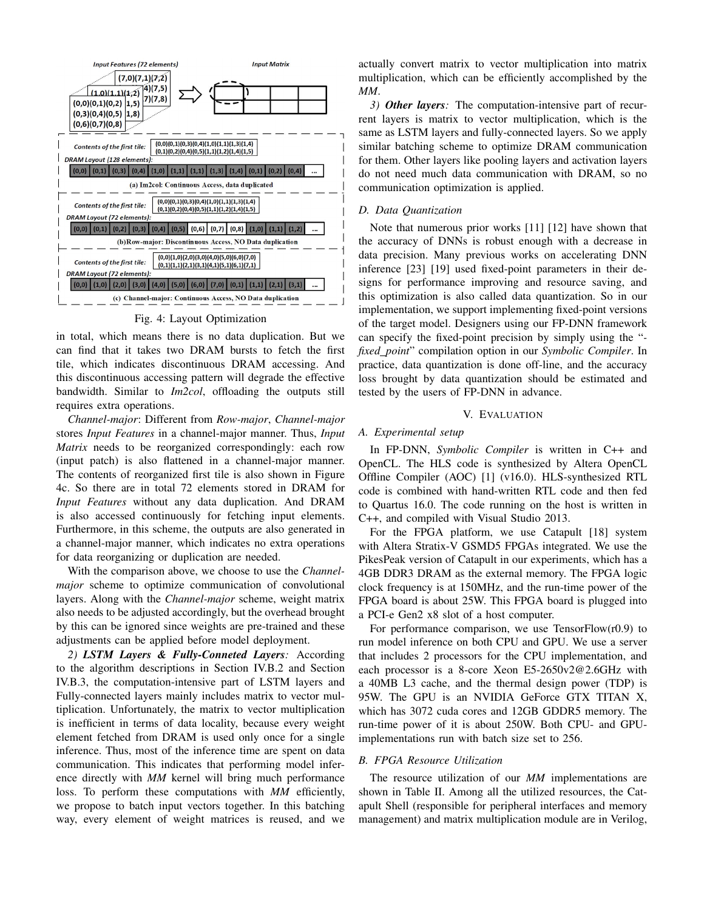

#### Fig. 4: Layout Optimization

in total, which means there is no data duplication. But we can find that it takes two DRAM bursts to fetch the first tile, which indicates discontinuous DRAM accessing. And this discontinuous accessing pattern will degrade the effective bandwidth. Similar to *Im2col*, offloading the outputs still requires extra operations.

*Channel-major*: Different from *Row-major*, *Channel-major* stores *Input Features* in a channel-major manner. Thus, *Input Matrix* needs to be reorganized correspondingly: each row (input patch) is also flattened in a channel-major manner. The contents of reorganized first tile is also shown in Figure 4c. So there are in total 72 elements stored in DRAM for *Input Features* without any data duplication. And DRAM is also accessed continuously for fetching input elements. Furthermore, in this scheme, the outputs are also generated in a channel-major manner, which indicates no extra operations for data reorganizing or duplication are needed.

With the comparison above, we choose to use the *Channelmajor* scheme to optimize communication of convolutional layers. Along with the *Channel-major* scheme, weight matrix also needs to be adjusted accordingly, but the overhead brought by this can be ignored since weights are pre-trained and these adjustments can be applied before model deployment.

*2) LSTM Layers & Fully-Conneted Layers:* According to the algorithm descriptions in Section IV.B.2 and Section IV.B.3, the computation-intensive part of LSTM layers and Fully-connected layers mainly includes matrix to vector multiplication. Unfortunately, the matrix to vector multiplication is inefficient in terms of data locality, because every weight element fetched from DRAM is used only once for a single inference. Thus, most of the inference time are spent on data communication. This indicates that performing model inference directly with *MM* kernel will bring much performance loss. To perform these computations with *MM* efficiently, we propose to batch input vectors together. In this batching way, every element of weight matrices is reused, and we actually convert matrix to vector multiplication into matrix multiplication, which can be efficiently accomplished by the *MM*.

*3) Other layers:* The computation-intensive part of recurrent layers is matrix to vector multiplication, which is the same as LSTM layers and fully-connected layers. So we apply similar batching scheme to optimize DRAM communication for them. Other layers like pooling layers and activation layers do not need much data communication with DRAM, so no communication optimization is applied.

# *D. Data Quantization*

Note that numerous prior works [11] [12] have shown that the accuracy of DNNs is robust enough with a decrease in data precision. Many previous works on accelerating DNN inference [23] [19] used fixed-point parameters in their designs for performance improving and resource saving, and this optimization is also called data quantization. So in our implementation, we support implementing fixed-point versions of the target model. Designers using our FP-DNN framework can specify the fixed-point precision by simply using the " *fixed point*" compilation option in our *Symbolic Compiler*. In practice, data quantization is done off-line, and the accuracy loss brought by data quantization should be estimated and tested by the users of FP-DNN in advance.

#### V. EVALUATION

## *A. Experimental setup*

In FP-DNN, *Symbolic Compiler* is written in C++ and OpenCL. The HLS code is synthesized by Altera OpenCL Offline Compiler (AOC) [1] (v16.0). HLS-synthesized RTL code is combined with hand-written RTL code and then fed to Quartus 16.0. The code running on the host is written in C++, and compiled with Visual Studio 2013.

For the FPGA platform, we use Catapult [18] system with Altera Stratix-V GSMD5 FPGAs integrated. We use the PikesPeak version of Catapult in our experiments, which has a 4GB DDR3 DRAM as the external memory. The FPGA logic clock frequency is at 150MHz, and the run-time power of the FPGA board is about 25W. This FPGA board is plugged into a PCI-e Gen2 x8 slot of a host computer.

For performance comparison, we use  $TensorFlow(r0.9)$  to run model inference on both CPU and GPU. We use a server that includes 2 processors for the CPU implementation, and each processor is a 8-core Xeon E5-2650v2@2.6GHz with a 40MB L3 cache, and the thermal design power (TDP) is 95W. The GPU is an NVIDIA GeForce GTX TITAN X, which has 3072 cuda cores and 12GB GDDR5 memory. The run-time power of it is about 250W. Both CPU- and GPUimplementations run with batch size set to 256.

#### *B. FPGA Resource Utilization*

The resource utilization of our *MM* implementations are shown in Table II. Among all the utilized resources, the Catapult Shell (responsible for peripheral interfaces and memory management) and matrix multiplication module are in Verilog,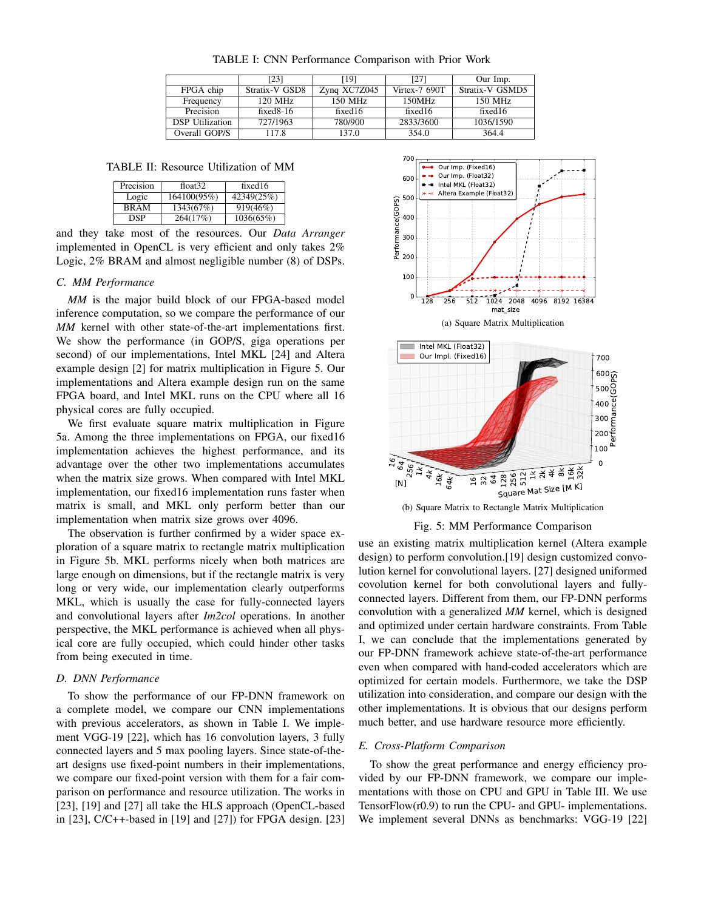TABLE I: CNN Performance Comparison with Prior Work

|                        | [23]           | [19]         | [27]          | Our Imp.        |
|------------------------|----------------|--------------|---------------|-----------------|
| FPGA chip              | Stratix-V GSD8 | Zyng XC7Z045 | Virtex-7 690T | Stratix-V GSMD5 |
| Frequency              | $120$ MHz      | $150$ MHz    | 150MHz        | 150 MHz         |
| Precision              | fixed $8-16$   | fixed $16$   | fixed $16$    | fixed $16$      |
| <b>DSP</b> Utilization | 727/1963       | 780/900      | 2833/3600     | 1036/1590       |
| Overall GOP/S          | 117.8          | 137.0        | 354.0         | 3644            |

TABLE II: Resource Utilization of MM

| Precision   | float $32$  | fixed16    |
|-------------|-------------|------------|
| Logic       | 164100(95%) | 42349(25%) |
| <b>BRAM</b> | 1343(67%)   | 919(46%)   |
| <b>DSP</b>  | 264(17%)    | 1036(65%)  |

and they take most of the resources. Our *Data Arranger* implemented in OpenCL is very efficient and only takes 2% Logic, 2% BRAM and almost negligible number (8) of DSPs.

# *C. MM Performance*

*MM* is the major build block of our FPGA-based model inference computation, so we compare the performance of our *MM* kernel with other state-of-the-art implementations first. We show the performance (in GOP/S, giga operations per second) of our implementations, Intel MKL [24] and Altera example design [2] for matrix multiplication in Figure 5. Our implementations and Altera example design run on the same FPGA board, and Intel MKL runs on the CPU where all 16 physical cores are fully occupied.

We first evaluate square matrix multiplication in Figure 5a. Among the three implementations on FPGA, our fixed16 implementation achieves the highest performance, and its advantage over the other two implementations accumulates when the matrix size grows. When compared with Intel MKL implementation, our fixed16 implementation runs faster when matrix is small, and MKL only perform better than our implementation when matrix size grows over 4096.

The observation is further confirmed by a wider space exploration of a square matrix to rectangle matrix multiplication in Figure 5b. MKL performs nicely when both matrices are large enough on dimensions, but if the rectangle matrix is very long or very wide, our implementation clearly outperforms MKL, which is usually the case for fully-connected layers and convolutional layers after *Im2col* operations. In another perspective, the MKL performance is achieved when all physical core are fully occupied, which could hinder other tasks from being executed in time.

#### *D. DNN Performance*

To show the performance of our FP-DNN framework on a complete model, we compare our CNN implementations with previous accelerators, as shown in Table I. We implement VGG-19 [22], which has 16 convolution layers, 3 fully connected layers and 5 max pooling layers. Since state-of-theart designs use fixed-point numbers in their implementations, we compare our fixed-point version with them for a fair comparison on performance and resource utilization. The works in [23], [19] and [27] all take the HLS approach (OpenCL-based in [23], C/C++-based in [19] and [27]) for FPGA design. [23]



(b) Square Matrix to Rectangle Matrix Multiplication

Fig. 5: MM Performance Comparison

use an existing matrix multiplication kernel (Altera example design) to perform convolution.[19] design customized convolution kernel for convolutional layers. [27] designed uniformed covolution kernel for both convolutional layers and fullyconnected layers. Different from them, our FP-DNN performs convolution with a generalized *MM* kernel, which is designed and optimized under certain hardware constraints. From Table I, we can conclude that the implementations generated by our FP-DNN framework achieve state-of-the-art performance even when compared with hand-coded accelerators which are optimized for certain models. Furthermore, we take the DSP utilization into consideration, and compare our design with the other implementations. It is obvious that our designs perform much better, and use hardware resource more efficiently.

# *E. Cross-Platform Comparison*

To show the great performance and energy efficiency provided by our FP-DNN framework, we compare our implementations with those on CPU and GPU in Table III. We use TensorFlow(r0.9) to run the CPU- and GPU- implementations. We implement several DNNs as benchmarks: VGG-19 [22]